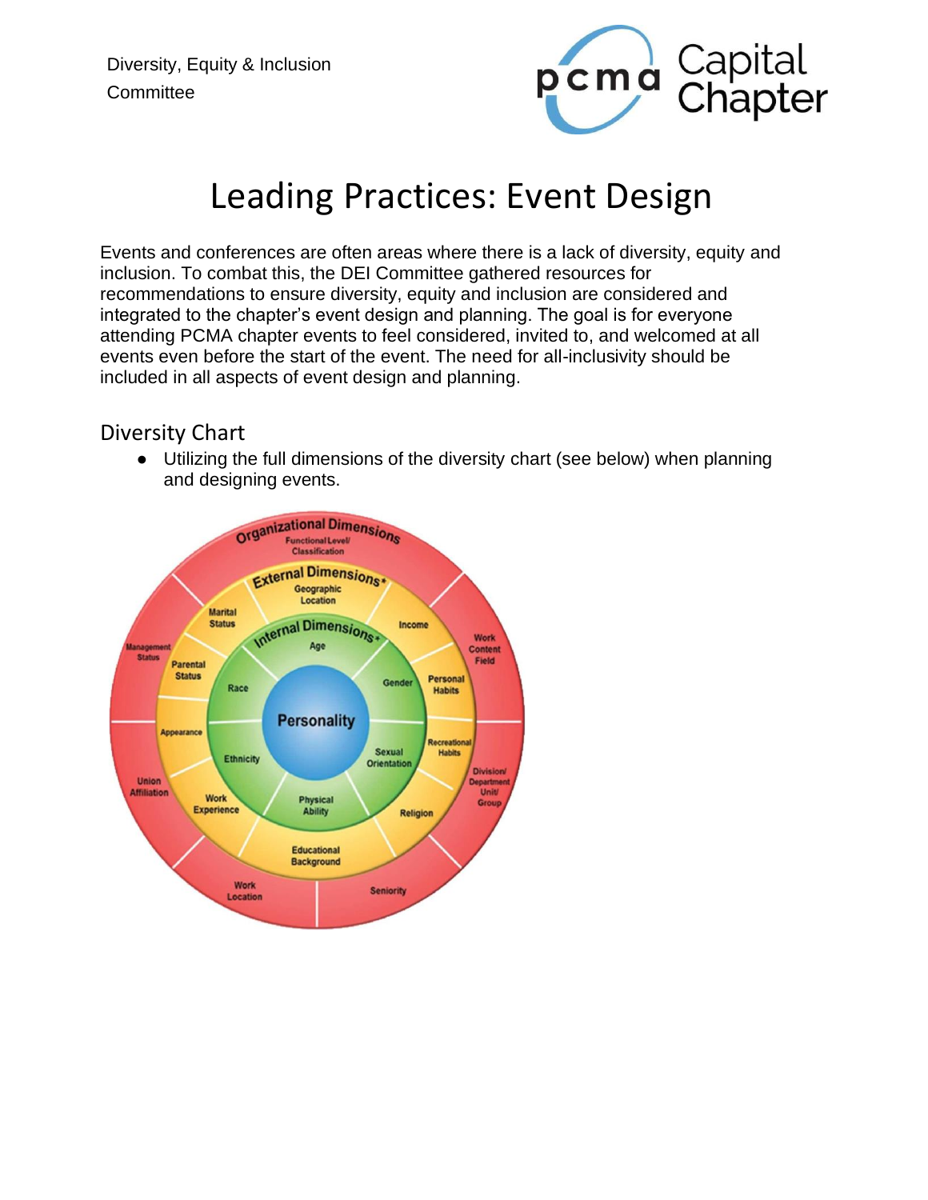

# Leading Practices: Event Design

Events and conferences are often areas where there is a lack of diversity, equity and inclusion. To combat this, the DEI Committee gathered resources for recommendations to ensure diversity, equity and inclusion are considered and integrated to the chapter's event design and planning. The goal is for everyone attending PCMA chapter events to feel considered, invited to, and welcomed at all events even before the start of the event. The need for all-inclusivity should be included in all aspects of event design and planning.

#### Diversity Chart

● Utilizing the full dimensions of the diversity chart (see below) when planning and designing events.

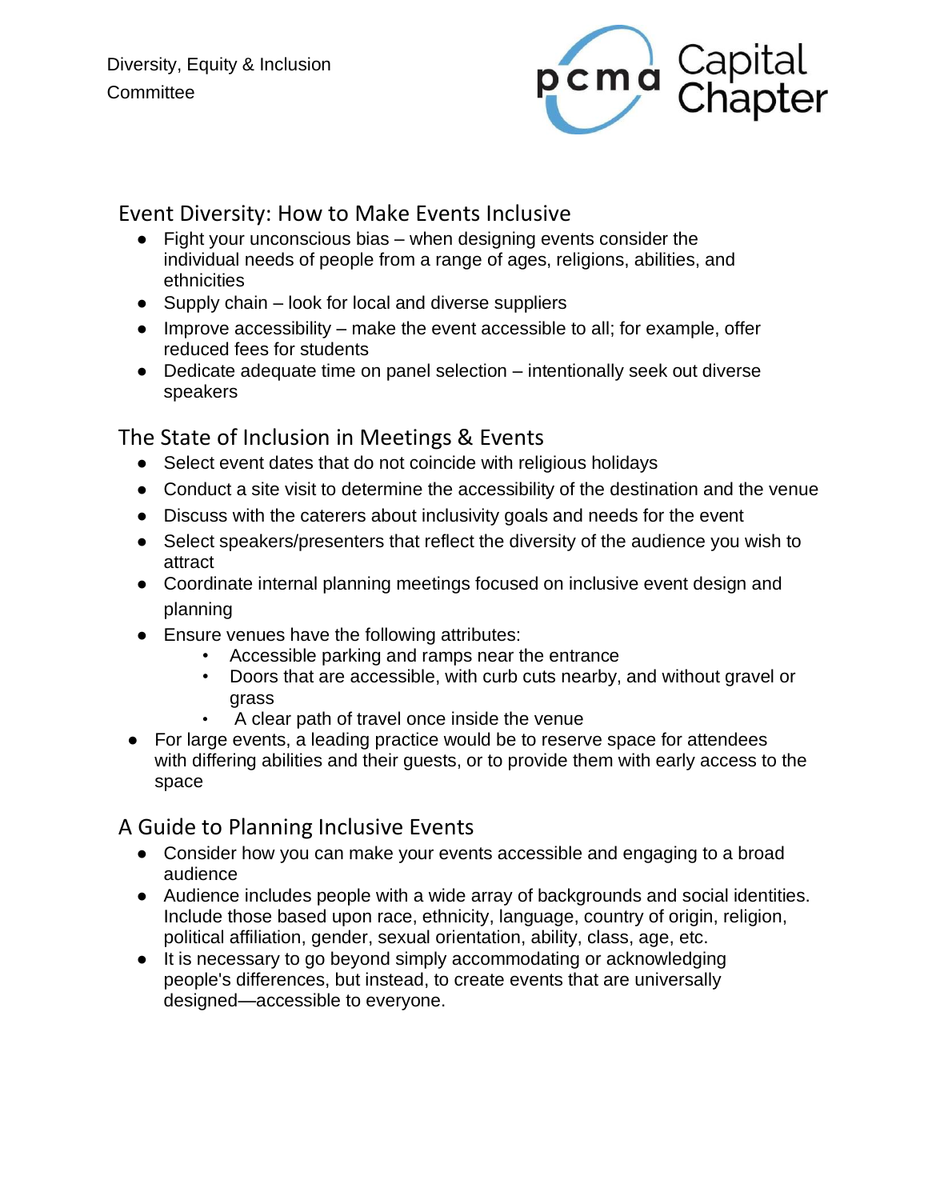

### Event Diversity: How to Make Events Inclusive

- Fight your unconscious bias when designing events consider the individual needs of people from a range of ages, religions, abilities, and ethnicities
- $\bullet$  Supply chain look for local and diverse suppliers
- $\bullet$  Improve accessibility make the event accessible to all; for example, offer reduced fees for students
- Dedicate adequate time on panel selection intentionally seek out diverse speakers

## The State of Inclusion in Meetings & Events

- Select event dates that do not coincide with religious holidays
- Conduct a site visit to determine the accessibility of the destination and the venue
- Discuss with the caterers about inclusivity goals and needs for the event
- Select speakers/presenters that reflect the diversity of the audience you wish to attract
- Coordinate internal planning meetings focused on inclusive event design and planning
- Ensure venues have the following attributes:
	- Accessible parking and ramps near the entrance
	- Doors that are accessible, with curb cuts nearby, and without gravel or grass
	- A clear path of travel once inside the venue
- For large events, a leading practice would be to reserve space for attendees with differing abilities and their guests, or to provide them with early access to the space

#### A Guide to Planning Inclusive Events

- Consider how you can make your events accessible and engaging to a broad audience
- Audience includes people with a wide array of backgrounds and social identities. Include those based upon race, ethnicity, language, country of origin, religion, political affiliation, gender, sexual orientation, ability, class, age, etc.
- It is necessary to go beyond simply accommodating or acknowledging people's differences, but instead, to create events that are universally designed—accessible to everyone.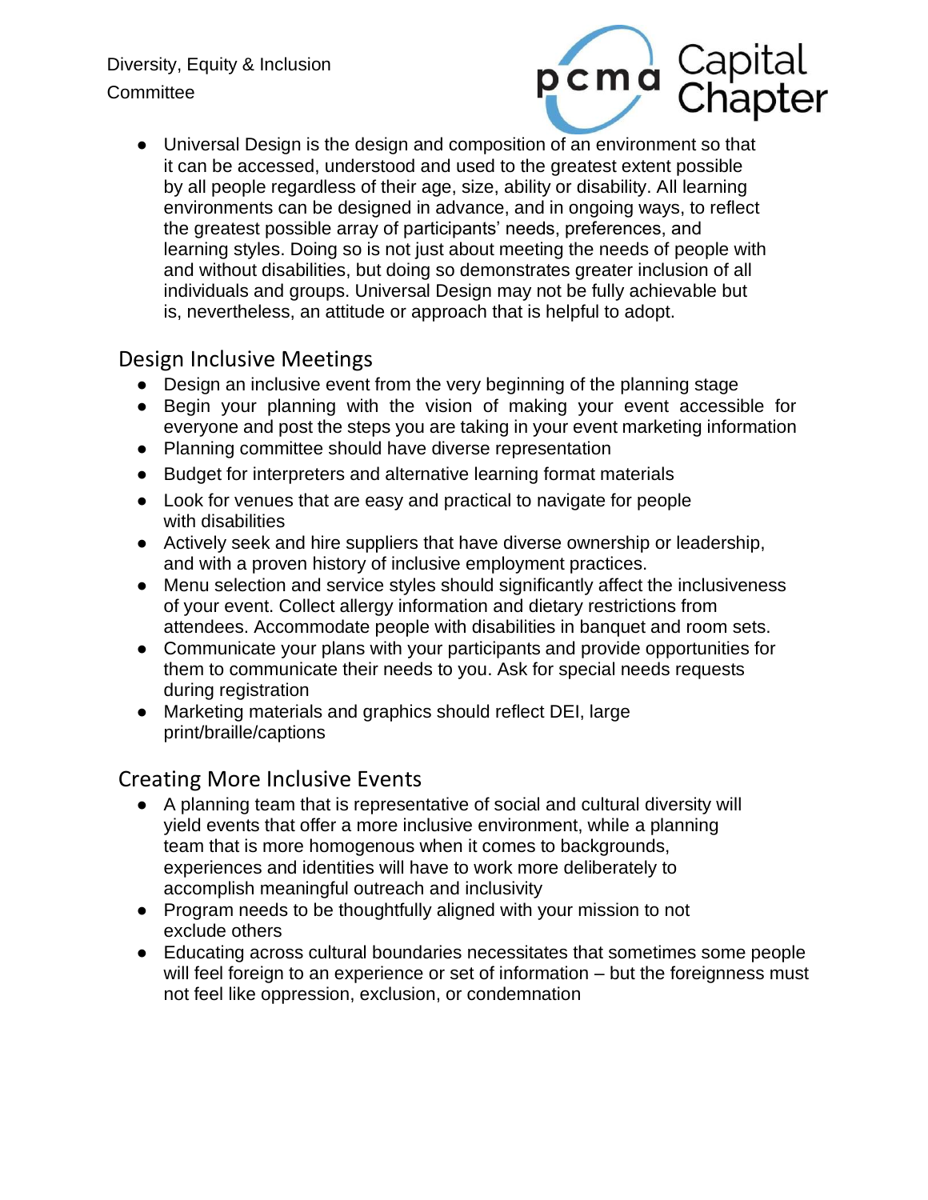#### Diversity, Equity & Inclusion **Committee**



● Universal Design is the design and composition of an environment so that it can be accessed, understood and used to the greatest extent possible by all people regardless of their age, size, ability or disability. All learning environments can be designed in advance, and in ongoing ways, to reflect the greatest possible array of participants' needs, preferences, and learning styles. Doing so is not just about meeting the needs of people with and without disabilities, but doing so demonstrates greater inclusion of all individuals and groups. Universal Design may not be fully achievable but is, nevertheless, an attitude or approach that is helpful to adopt.

#### Design Inclusive Meetings

- Design an inclusive event from the very beginning of the planning stage
- Begin your planning with the vision of making your event accessible for everyone and post the steps you are taking in your event marketing information
- Planning committee should have diverse representation
- Budget for interpreters and alternative learning format materials
- Look for venues that are easy and practical to navigate for people with disabilities
- Actively seek and hire suppliers that have diverse ownership or leadership, and with a proven history of inclusive employment practices.
- Menu selection and service styles should significantly affect the inclusiveness of your event. Collect allergy information and dietary restrictions from attendees. Accommodate people with disabilities in banquet and room sets.
- Communicate your plans with your participants and provide opportunities for them to communicate their needs to you. Ask for special needs requests during registration
- Marketing materials and graphics should reflect DEI, large print/braille/captions

#### Creating More Inclusive Events

- A planning team that is representative of social and cultural diversity will yield events that offer a more inclusive environment, while a planning team that is more homogenous when it comes to backgrounds, experiences and identities will have to work more deliberately to accomplish meaningful outreach and inclusivity
- Program needs to be thoughtfully aligned with your mission to not exclude others
- Educating across cultural boundaries necessitates that sometimes some people will feel foreign to an experience or set of information – but the foreignness must not feel like oppression, exclusion, or condemnation